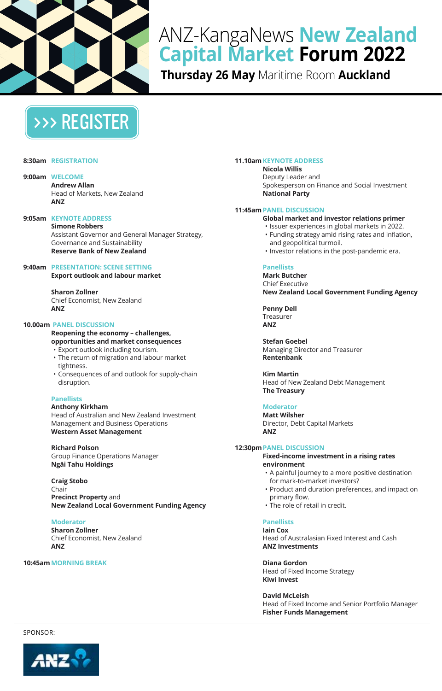

# ANZ-KangaNews **New Zealand Capital Market Forum 2022**

**Thursday 26 May** Maritime Room **Auckland**

# [>>> REGISTER](https://kanganews.eventsair.com/2022-nzcmf/)

#### **8:30am REGISTRATION**

**9:00am WELCOME Andrew Allan**  Head of Markets, New Zealand **ANZ**

# **9:05am KEYNOTE ADDRESS**

**Simone Robbers** Assistant Governor and General Manager Strategy, Governance and Sustainability **Reserve Bank of New Zealand**

# **9:40am PRESENTATION: SCENE SETTING**

**Export outlook and labour market** 

**Sharon Zollner** Chief Economist, New Zealand **ANZ**

#### **10.00am PANEL DISCUSSION**

## **Reopening the economy – challenges, opportunities and market consequences**

- Export outlook including tourism.
- The return of migration and labour market tightness.
- Consequences of and outlook for supply-chain disruption.

#### **Panellists**

#### **Anthony Kirkham**

Head of Australian and New Zealand Investment Management and Business Operations **Western Asset Management**

# **Richard Polson**

Group Finance Operations Manager **Ngāi Tahu Holdings**

#### **Craig Stobo** Chair **Precinct Property** and **New Zealand Local Government Funding Agency**

## **Moderator**

**Sharon Zollner** Chief Economist, New Zealand **ANZ**

## **10:45amMORNING BREAK**

#### **11.10am KEYNOTE ADDRESS**

**Nicola Willis** Deputy Leader and Spokesperson on Finance and Social Investment **National Party**

#### **11:45amPANEL DISCUSSION**

**Global market and investor relations primer**

- Issuer experiences in global markets in 2022.
- Funding strategy amid rising rates and inflation, and geopolitical turmoil.
- Investor relations in the post-pandemic era.

#### **Panellists**

**Mark Butcher** Chief Executive **New Zealand Local Government Funding Agency**

**Penny Dell**  Treasurer **ANZ**

**Stefan Goebel** Managing Director and Treasurer **Rentenbank** 

**Kim Martin**  Head of New Zealand Debt Management **The Treasury**

## **Moderator**

**Matt Wilsher** Director, Debt Capital Markets **ANZ**

#### **12:30pmPANEL DISCUSSION**

#### **Fixed-income investment in a rising rates environment**

- A painful journey to a more positive destination for mark-to-market investors?
- Product and duration preferences, and impact on primary flow.
- The role of retail in credit.

#### **Panellists**

**Iain Cox**  Head of Australasian Fixed Interest and Cash **ANZ Investments**

#### **Diana Gordon**

Head of Fixed Income Strategy **Kiwi Invest**

**David McLeish**  Head of Fixed Income and Senior Portfolio Manager

**Fisher Funds Management**